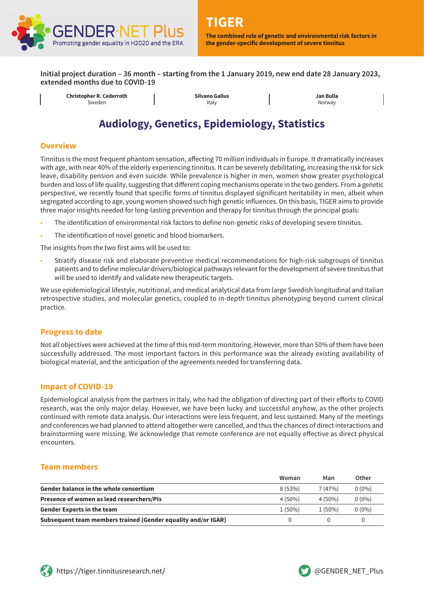

**Initial project duration – 36 month – starting from the 1 January 2019, new end date 28 January 2023, extended months due to COVID-19**

**Christopher R. Cederroth** Sweden

**Silvano Gallus** Italy

**Jan Bulla** Norway

# **Audiology, Genetics, Epidemiology, Statistics**

#### **Overview**

Tinnitus is the most frequent phantom sensation, affecting 70 million individuals in Europe. It dramatically increases with age, with near 40% of the elderly experiencing tinnitus. It can be severely debilitating, increasing the risk for sick leave, disability pension and even suicide. While prevalence is higher in men, women show greater psychological burden and loss of life quality, suggesting that different coping mechanisms operate in the two genders. From a genetic perspective, we recently found that specific forms of tinnitus displayed significant heritability in men, albeit when segregated according to age, young women showed such high genetic influences. On this basis, TIGER aims to provide three major insights needed for long-lasting prevention and therapy for tinnitus through the principal goals:

- The identification of environmental risk factors to define non-genetic risks of developing severe tinnitus.
- The identification of novel genetic and blood biomarkers.

The insights from the two first aims will be used to:

• Stratify disease risk and elaborate preventive medical recommendations for high-risk subgroups of tinnitus patients and to define molecular drivers/biological pathways relevant for the development of severe tinnitus that will be used to identify and validate new therapeutic targets.

We use epidemiological lifestyle, nutritional, and medical analytical data from large Swedish longitudinal and Italian retrospective studies, and molecular genetics, coupled to in-depth tinnitus phenotyping beyond current clinical practice.

#### **Progress to date**

Not all objectives were achieved at the time of this mid-term monitoring. However, more than 50% of them have been successfully addressed. The most important factors in this performance was the already existing availability of biological material, and the anticipation of the agreements needed for transferring data.

#### **Impact of COVID-19**

Epidemiological analysis from the partners in Italy, who had the obligation of directing part of their efforts to COVID research, was the only major delay. However, we have been lucky and successful anyhow, as the other projects continued with remote data analysis. Our interactions were less frequent, and less sustained. Many of the meetings and conferences we had planned to attend altogether were cancelled, and thus the chances of direct interactions and brainstorming were missing. We acknowledge that remote conference are not equally effective as direct physical encounters.

#### **Team members**

|                                                               | Woman     | Man       | Other    |
|---------------------------------------------------------------|-----------|-----------|----------|
| <b>Gender balance in the whole consortium</b>                 | 8(53%)    | 7(47%)    | $0(0\%)$ |
| Presence of women as lead researchers/PIs                     | $4(50\%)$ | $4(50\%)$ | $0(0\%)$ |
| <b>Gender Experts in the team</b>                             | $1(50\%)$ | $1(50\%)$ | $0(0\%)$ |
| Subsequent team members trained (Gender equality and/or IGAR) |           |           |          |